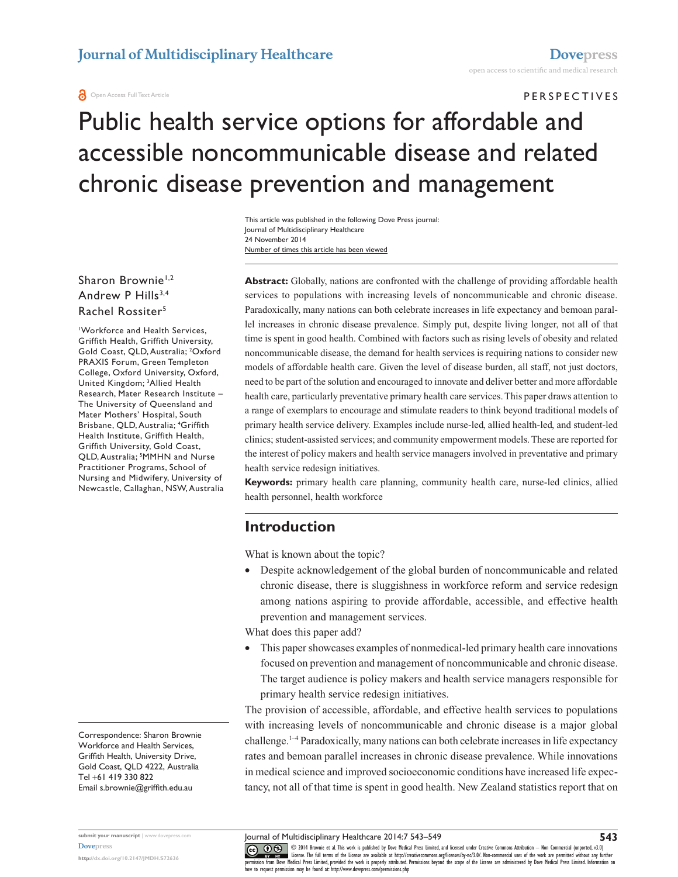#### **a** Open Access Full Text Article

**PERSPECTIVES** 

# Public health service options for affordable and accessible noncommunicable disease and related chronic disease prevention and management

Number of times this article has been viewed This article was published in the following Dove Press journal: Journal of Multidisciplinary Healthcare 24 November 2014

Sharon Brownie<sup>1,2</sup> Andrew P Hills<sup>3,4</sup> Rachel Rossiter<sup>5</sup>

1 Workforce and Health Services, Griffith Health, Griffith University, Gold Coast, QLD, Australia; <sup>2</sup>Oxford PRAXIS Forum, Green Templeton College, Oxford University, Oxford, United Kingdom; <sup>3</sup> Allied Health Research, Mater Research Institute – The University of Queensland and Mater Mothers' Hospital, South Brisbane, QLD, Australia; <sup>4</sup> Griffith Health Institute, Griffith Health, Griffith University, Gold Coast, QLD, Australia; <sup>5</sup> MMHN and Nurse Practitioner Programs, School of Nursing and Midwifery, University of Newcastle, Callaghan, NSW, Australia

Correspondence: Sharon Brownie Workforce and Health Services, Griffith Health, University Drive, Gold Coast, QLD 4222, Australia Tel +61 419 330 822 Email [s.brownie@griffith.edu.a](mailto:s.brownie@griffith.edu.au)u

**submit your manuscript** | <www.dovepress.com> **[Dovepress](www.dovepress.com)**

**<http://dx.doi.org/10.2147/JMDH.S72636>**

**Abstract:** Globally, nations are confronted with the challenge of providing affordable health services to populations with increasing levels of noncommunicable and chronic disease. Paradoxically, many nations can both celebrate increases in life expectancy and bemoan parallel increases in chronic disease prevalence. Simply put, despite living longer, not all of that time is spent in good health. Combined with factors such as rising levels of obesity and related noncommunicable disease, the demand for health services is requiring nations to consider new models of affordable health care. Given the level of disease burden, all staff, not just doctors, need to be part of the solution and encouraged to innovate and deliver better and more affordable health care, particularly preventative primary health care services. This paper draws attention to a range of exemplars to encourage and stimulate readers to think beyond traditional models of primary health service delivery. Examples include nurse-led, allied health-led, and student-led clinics; student-assisted services; and community empowerment models. These are reported for the interest of policy makers and health service managers involved in preventative and primary health service redesign initiatives.

**Keywords:** primary health care planning, community health care, nurse-led clinics, allied health personnel, health workforce

## **Introduction**

What is known about the topic?

• Despite acknowledgement of the global burden of noncommunicable and related chronic disease, there is sluggishness in workforce reform and service redesign among nations aspiring to provide affordable, accessible, and effective health prevention and management services.

What does this paper add?

• This paper showcases examples of nonmedical-led primary health care innovations focused on prevention and management of noncommunicable and chronic disease. The target audience is policy makers and health service managers responsible for primary health service redesign initiatives.

The provision of accessible, affordable, and effective health services to populations with increasing levels of noncommunicable and chronic disease is a major global challenge.1–4 Paradoxically, many nations can both celebrate increases in life expectancy rates and bemoan parallel increases in chronic disease prevalence. While innovations in medical science and improved socioeconomic conditions have increased life expectancy, not all of that time is spent in good health. New Zealand statistics report that on

Journal of Multidisciplinary Healthcare 2014:7 543–549

CO ODI 4 Brownie et al. This work is published by Dove Medical Press Limited, and licensed under Creative Commons Attribution - Non Commercial (unported, v3.0)<br> [permission from Dove M](http://www.dovepress.com/permissions.php)edical Press Limited, provided the work how to request permission may be found at:<http://www.dovepress.com/permissions.php>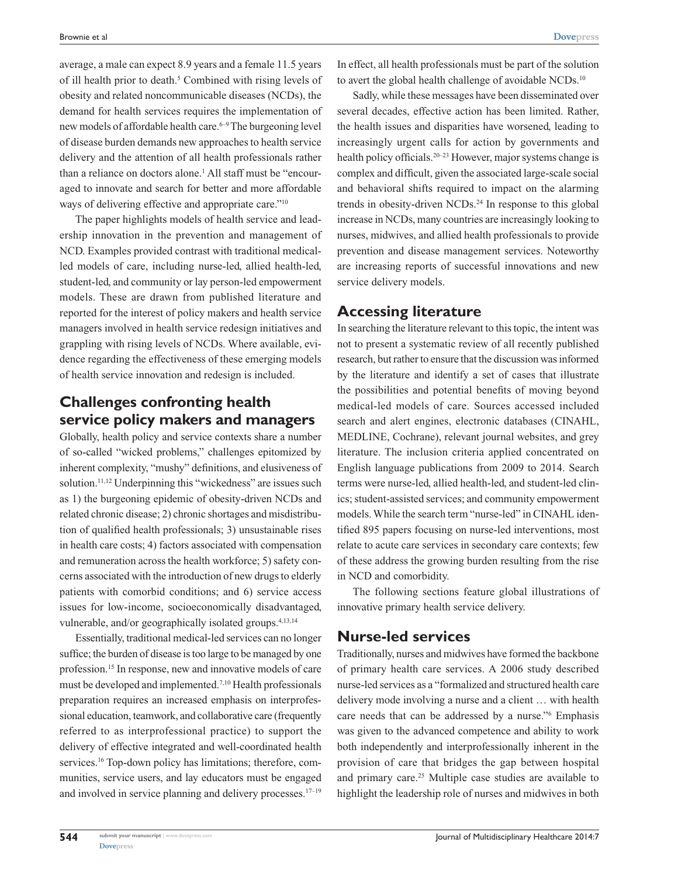average, a male can expect 8.9 years and a female 11.5 years of ill health prior to death.<sup>5</sup> Combined with rising levels of obesity and related noncommunicable diseases (NCDs), the demand for health services requires the implementation of new models of affordable health care.<sup>6-9</sup> The burgeoning level of disease burden demands new approaches to health service delivery and the attention of all health professionals rather than a reliance on doctors alone.<sup>1</sup> All staff must be "encouraged to innovate and search for better and more affordable ways of delivering effective and appropriate care."<sup>10</sup>

The paper highlights models of health service and leadership innovation in the prevention and management of NCD. Examples provided contrast with traditional medicalled models of care, including nurse-led, allied health-led, student-led, and community or lay person-led empowerment models. These are drawn from published literature and reported for the interest of policy makers and health service managers involved in health service redesign initiatives and grappling with rising levels of NCDs. Where available, evidence regarding the effectiveness of these emerging models of health service innovation and redesign is included.

# **Challenges confronting health service policy makers and managers**

Globally, health policy and service contexts share a number of so-called "wicked problems," challenges epitomized by inherent complexity, "mushy" definitions, and elusiveness of solution.<sup>11,12</sup> Underpinning this "wickedness" are issues such as 1) the burgeoning epidemic of obesity-driven NCDs and related chronic disease; 2) chronic shortages and misdistribution of qualified health professionals; 3) unsustainable rises in health care costs; 4) factors associated with compensation and remuneration across the health workforce; 5) safety concerns associated with the introduction of new drugs to elderly patients with comorbid conditions; and 6) service access issues for low-income, socioeconomically disadvantaged, vulnerable, and/or geographically isolated groups.4,13,14

Essentially, traditional medical-led services can no longer suffice; the burden of disease is too large to be managed by one profession.15 In response, new and innovative models of care must be developed and implemented.7,10 Health professionals preparation requires an increased emphasis on interprofessional education, teamwork, and collaborative care (frequently referred to as interprofessional practice) to support the delivery of effective integrated and well-coordinated health services.<sup>16</sup> Top-down policy has limitations; therefore, communities, service users, and lay educators must be engaged and involved in service planning and delivery processes.<sup>17-19</sup> In effect, all health professionals must be part of the solution to avert the global health challenge of avoidable NCDs.<sup>10</sup>

Sadly, while these messages have been disseminated over several decades, effective action has been limited. Rather, the health issues and disparities have worsened, leading to increasingly urgent calls for action by governments and health policy officials.<sup>20–23</sup> However, major systems change is complex and difficult, given the associated large-scale social and behavioral shifts required to impact on the alarming trends in obesity-driven NCDs.<sup>24</sup> In response to this global increase in NCDs, many countries are increasingly looking to nurses, midwives, and allied health professionals to provide prevention and disease management services. Noteworthy are increasing reports of successful innovations and new service delivery models.

#### **Accessing literature**

In searching the literature relevant to this topic, the intent was not to present a systematic review of all recently published research, but rather to ensure that the discussion was informed by the literature and identify a set of cases that illustrate the possibilities and potential benefits of moving beyond medical-led models of care. Sources accessed included search and alert engines, electronic databases (CINAHL, MEDLINE, Cochrane), relevant journal websites, and grey literature. The inclusion criteria applied concentrated on English language publications from 2009 to 2014. Search terms were nurse-led, allied health-led, and student-led clinics; student-assisted services; and community empowerment models. While the search term "nurse-led" in CINAHL identified 895 papers focusing on nurse-led interventions, most relate to acute care services in secondary care contexts; few of these address the growing burden resulting from the rise in NCD and comorbidity.

The following sections feature global illustrations of innovative primary health service delivery.

## **Nurse-led services**

Traditionally, nurses and midwives have formed the backbone of primary health care services. A 2006 study described nurse-led services as a "formalized and structured health care delivery mode involving a nurse and a client … with health care needs that can be addressed by a nurse."6 Emphasis was given to the advanced competence and ability to work both independently and interprofessionally inherent in the provision of care that bridges the gap between hospital and primary care.25 Multiple case studies are available to highlight the leadership role of nurses and midwives in both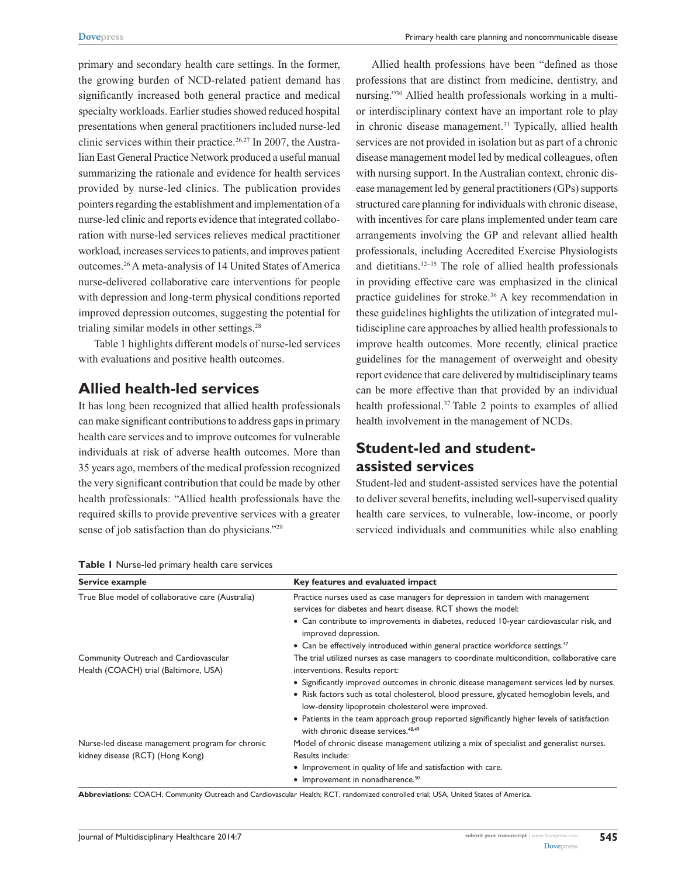primary and secondary health care settings. In the former, the growing burden of NCD-related patient demand has significantly increased both general practice and medical specialty workloads. Earlier studies showed reduced hospital presentations when general practitioners included nurse-led clinic services within their practice.<sup>26,27</sup> In 2007, the Australian East General Practice Network produced a useful manual summarizing the rationale and evidence for health services provided by nurse-led clinics. The publication provides pointers regarding the establishment and implementation of a nurse-led clinic and reports evidence that integrated collaboration with nurse-led services relieves medical practitioner workload, increases services to patients, and improves patient outcomes.26 A meta-analysis of 14 United States of America nurse-delivered collaborative care interventions for people with depression and long-term physical conditions reported improved depression outcomes, suggesting the potential for trialing similar models in other settings.<sup>28</sup>

Table 1 highlights different models of nurse-led services with evaluations and positive health outcomes.

#### **Allied health-led services**

**Table 1** Nurse-led primary health care services

It has long been recognized that allied health professionals can make significant contributions to address gaps in primary health care services and to improve outcomes for vulnerable individuals at risk of adverse health outcomes. More than 35 years ago, members of the medical profession recognized the very significant contribution that could be made by other health professionals: "Allied health professionals have the required skills to provide preventive services with a greater sense of job satisfaction than do physicians."<sup>29</sup>

Allied health professions have been "defined as those professions that are distinct from medicine, dentistry, and nursing."30 Allied health professionals working in a multior interdisciplinary context have an important role to play in chronic disease management.<sup>31</sup> Typically, allied health services are not provided in isolation but as part of a chronic disease management model led by medical colleagues, often with nursing support. In the Australian context, chronic disease management led by general practitioners (GPs) supports structured care planning for individuals with chronic disease, with incentives for care plans implemented under team care arrangements involving the GP and relevant allied health professionals, including Accredited Exercise Physiologists and dietitians.32–35 The role of allied health professionals in providing effective care was emphasized in the clinical practice guidelines for stroke.36 A key recommendation in these guidelines highlights the utilization of integrated multidiscipline care approaches by allied health professionals to improve health outcomes. More recently, clinical practice guidelines for the management of overweight and obesity report evidence that care delivered by multidisciplinary teams can be more effective than that provided by an individual health professional.<sup>37</sup> Table 2 points to examples of allied health involvement in the management of NCDs.

# **Student-led and studentassisted services**

Student-led and student-assisted services have the potential to deliver several benefits, including well-supervised quality health care services, to vulnerable, low-income, or poorly serviced individuals and communities while also enabling

| Service example                                   | Key features and evaluated impact                                                                                                               |
|---------------------------------------------------|-------------------------------------------------------------------------------------------------------------------------------------------------|
| True Blue model of collaborative care (Australia) | Practice nurses used as case managers for depression in tandem with management                                                                  |
|                                                   | services for diabetes and heart disease. RCT shows the model:                                                                                   |
|                                                   | • Can contribute to improvements in diabetes, reduced 10-year cardiovascular risk, and<br>improved depression.                                  |
|                                                   | • Can be effectively introduced within general practice workforce settings. <sup>47</sup>                                                       |
| Community Outreach and Cardiovascular             | The trial utilized nurses as case managers to coordinate multicondition, collaborative care                                                     |
| Health (COACH) trial (Baltimore, USA)             | interventions. Results report:                                                                                                                  |
|                                                   | • Significantly improved outcomes in chronic disease management services led by nurses.                                                         |
|                                                   | • Risk factors such as total cholesterol, blood pressure, glycated hemoglobin levels, and<br>low-density lipoprotein cholesterol were improved. |
|                                                   | • Patients in the team approach group reported significantly higher levels of satisfaction<br>with chronic disease services. <sup>48,49</sup>   |
| Nurse-led disease management program for chronic  | Model of chronic disease management utilizing a mix of specialist and generalist nurses.                                                        |
| kidney disease (RCT) (Hong Kong)                  | Results include:                                                                                                                                |
|                                                   | • Improvement in quality of life and satisfaction with care.                                                                                    |
|                                                   | • Improvement in nonadherence. <sup>50</sup>                                                                                                    |

**Abbreviations:** COACH, Community Outreach and Cardiovascular Health; RCT, randomized controlled trial; USA, United States of America.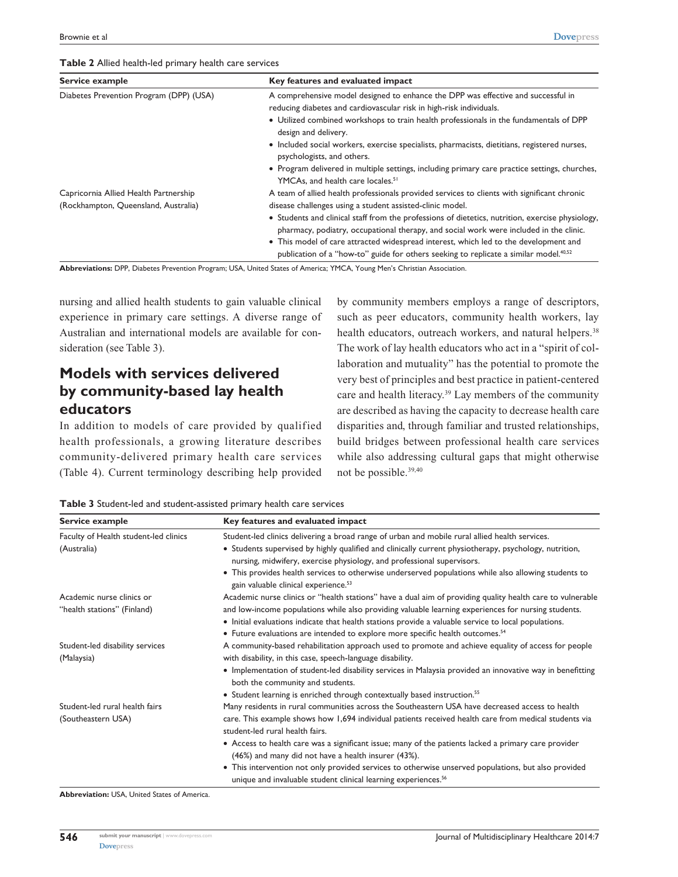| Service example                         | Key features and evaluated impact                                                                                                                                                          |
|-----------------------------------------|--------------------------------------------------------------------------------------------------------------------------------------------------------------------------------------------|
| Diabetes Prevention Program (DPP) (USA) | A comprehensive model designed to enhance the DPP was effective and successful in<br>reducing diabetes and cardiovascular risk in high-risk individuals.                                   |
|                                         | • Utilized combined workshops to train health professionals in the fundamentals of DPP<br>design and delivery.                                                                             |
|                                         | • Included social workers, exercise specialists, pharmacists, dietitians, registered nurses,<br>psychologists, and others.                                                                 |
|                                         | • Program delivered in multiple settings, including primary care practice settings, churches,<br>YMCAs, and health care locales. <sup>51</sup>                                             |
| Capricornia Allied Health Partnership   | A team of allied health professionals provided services to clients with significant chronic                                                                                                |
| (Rockhampton, Queensland, Australia)    | disease challenges using a student assisted-clinic model.                                                                                                                                  |
|                                         | • Students and clinical staff from the professions of dietetics, nutrition, exercise physiology,<br>pharmacy, podiatry, occupational therapy, and social work were included in the clinic. |
|                                         | • This model of care attracted widespread interest, which led to the development and<br>publication of a "how-to" guide for others seeking to replicate a similar model. <sup>40,52</sup>  |

**Abbreviations:** DPP, Diabetes Prevention Program; USA, United States of America; YMCA, Young Men's Christian Association.

nursing and allied health students to gain valuable clinical experience in primary care settings. A diverse range of Australian and international models are available for consideration (see Table 3).

# **Models with services delivered by community-based lay health educators**

In addition to models of care provided by qualified health professionals, a growing literature describes community-delivered primary health care services (Table 4). Current terminology describing help provided by community members employs a range of descriptors, such as peer educators, community health workers, lay health educators, outreach workers, and natural helpers.<sup>38</sup> The work of lay health educators who act in a "spirit of collaboration and mutuality" has the potential to promote the very best of principles and best practice in patient-centered care and health literacy.39 Lay members of the community are described as having the capacity to decrease health care disparities and, through familiar and trusted relationships, build bridges between professional health care services while also addressing cultural gaps that might otherwise not be possible.39,40

| Table 3 Student-led and student-assisted primary health care services |  |  |
|-----------------------------------------------------------------------|--|--|
|-----------------------------------------------------------------------|--|--|

| Service example                       | Key features and evaluated impact                                                                                                                                                |
|---------------------------------------|----------------------------------------------------------------------------------------------------------------------------------------------------------------------------------|
| Faculty of Health student-led clinics | Student-led clinics delivering a broad range of urban and mobile rural allied health services.                                                                                   |
| (Australia)                           | • Students supervised by highly qualified and clinically current physiotherapy, psychology, nutrition,<br>nursing, midwifery, exercise physiology, and professional supervisors. |
|                                       | • This provides health services to otherwise underserved populations while also allowing students to<br>gain valuable clinical experience. <sup>53</sup>                         |
| Academic nurse clinics or             | Academic nurse clinics or "health stations" have a dual aim of providing quality health care to vulnerable                                                                       |
| "health stations" (Finland)           | and low-income populations while also providing valuable learning experiences for nursing students.                                                                              |
|                                       | • Initial evaluations indicate that health stations provide a valuable service to local populations.                                                                             |
|                                       | • Future evaluations are intended to explore more specific health outcomes. <sup>54</sup>                                                                                        |
| Student-led disability services       | A community-based rehabilitation approach used to promote and achieve equality of access for people                                                                              |
| (Malaysia)                            | with disability, in this case, speech-language disability.                                                                                                                       |
|                                       | • Implementation of student-led disability services in Malaysia provided an innovative way in benefitting<br>both the community and students.                                    |
|                                       | • Student learning is enriched through contextually based instruction. <sup>55</sup>                                                                                             |
| Student-led rural health fairs        | Many residents in rural communities across the Southeastern USA have decreased access to health                                                                                  |
| (Southeastern USA)                    | care. This example shows how 1,694 individual patients received health care from medical students via<br>student-led rural health fairs.                                         |
|                                       | • Access to health care was a significant issue; many of the patients lacked a primary care provider                                                                             |
|                                       | (46%) and many did not have a health insurer (43%).                                                                                                                              |
|                                       | • This intervention not only provided services to otherwise unserved populations, but also provided                                                                              |
|                                       | unique and invaluable student clinical learning experiences. <sup>56</sup>                                                                                                       |

#### **Abbreviation:** USA, United States of America.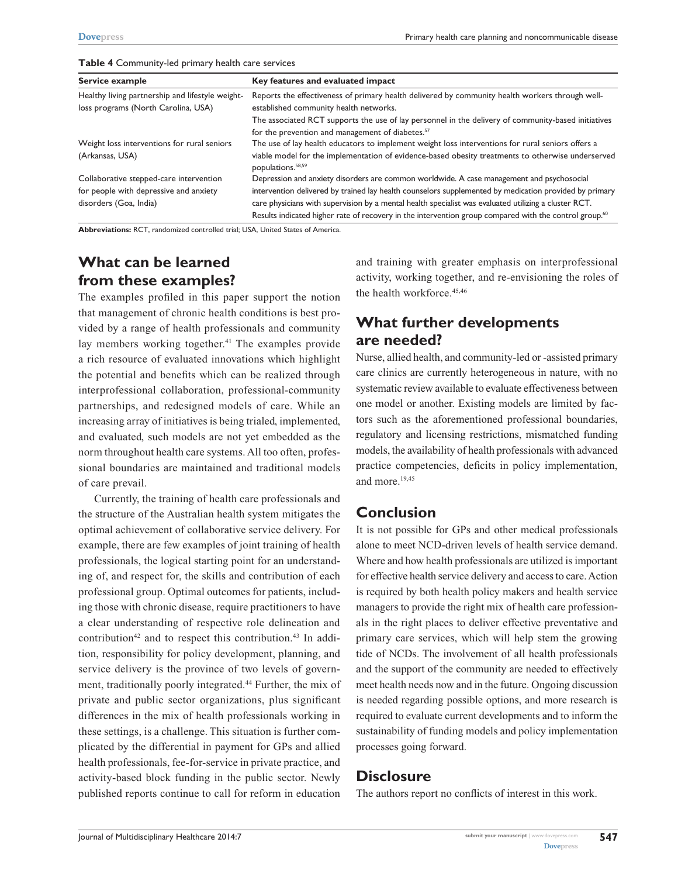| <b>Example 1</b> Community ide primary inductive durated victor                         |                                                                                                                                                                                                                                                                                                                                       |  |
|-----------------------------------------------------------------------------------------|---------------------------------------------------------------------------------------------------------------------------------------------------------------------------------------------------------------------------------------------------------------------------------------------------------------------------------------|--|
| Service example                                                                         | Key features and evaluated impact                                                                                                                                                                                                                                                                                                     |  |
| Healthy living partnership and lifestyle weight-<br>loss programs (North Carolina, USA) | Reports the effectiveness of primary health delivered by community health workers through well-<br>established community health networks.                                                                                                                                                                                             |  |
|                                                                                         | The associated RCT supports the use of lay personnel in the delivery of community-based initiatives<br>for the prevention and management of diabetes. <sup>57</sup>                                                                                                                                                                   |  |
| Weight loss interventions for rural seniors                                             | The use of lay health educators to implement weight loss interventions for rural seniors offers a                                                                                                                                                                                                                                     |  |
| (Arkansas, USA)                                                                         | viable model for the implementation of evidence-based obesity treatments to otherwise underserved<br>populations. <sup>58,59</sup>                                                                                                                                                                                                    |  |
| Collaborative stepped-care intervention                                                 | Depression and anxiety disorders are common worldwide. A case management and psychosocial                                                                                                                                                                                                                                             |  |
| for people with depressive and anxiety<br>disorders (Goa, India)                        | intervention delivered by trained lay health counselors supplemented by medication provided by primary<br>care physicians with supervision by a mental health specialist was evaluated utilizing a cluster RCT.<br>Results indicated higher rate of recovery in the intervention group compared with the control group. <sup>60</sup> |  |

**Table 4** Community-led primary health care services

**Abbreviations:** RCT, randomized controlled trial; USA, United States of America.

# **What can be learned from these examples?**

The examples profiled in this paper support the notion that management of chronic health conditions is best provided by a range of health professionals and community lay members working together.<sup>41</sup> The examples provide a rich resource of evaluated innovations which highlight the potential and benefits which can be realized through interprofessional collaboration, professional-community partnerships, and redesigned models of care. While an increasing array of initiatives is being trialed, implemented, and evaluated, such models are not yet embedded as the norm throughout health care systems. All too often, professional boundaries are maintained and traditional models of care prevail.

Currently, the training of health care professionals and the structure of the Australian health system mitigates the optimal achievement of collaborative service delivery. For example, there are few examples of joint training of health professionals, the logical starting point for an understanding of, and respect for, the skills and contribution of each professional group. Optimal outcomes for patients, including those with chronic disease, require practitioners to have a clear understanding of respective role delineation and contribution<sup>42</sup> and to respect this contribution.<sup>43</sup> In addition, responsibility for policy development, planning, and service delivery is the province of two levels of government, traditionally poorly integrated.<sup>44</sup> Further, the mix of private and public sector organizations, plus significant differences in the mix of health professionals working in these settings, is a challenge. This situation is further complicated by the differential in payment for GPs and allied health professionals, fee-for-service in private practice, and activity-based block funding in the public sector. Newly published reports continue to call for reform in education

and training with greater emphasis on interprofessional activity, working together, and re-envisioning the roles of the health workforce.<sup>45,46</sup>

# **What further developments are needed?**

Nurse, allied health, and community-led or -assisted primary care clinics are currently heterogeneous in nature, with no systematic review available to evaluate effectiveness between one model or another. Existing models are limited by factors such as the aforementioned professional boundaries, regulatory and licensing restrictions, mismatched funding models, the availability of health professionals with advanced practice competencies, deficits in policy implementation, and more.<sup>19,45</sup>

## **Conclusion**

It is not possible for GPs and other medical professionals alone to meet NCD-driven levels of health service demand. Where and how health professionals are utilized is important for effective health service delivery and access to care. Action is required by both health policy makers and health service managers to provide the right mix of health care professionals in the right places to deliver effective preventative and primary care services, which will help stem the growing tide of NCDs. The involvement of all health professionals and the support of the community are needed to effectively meet health needs now and in the future. Ongoing discussion is needed regarding possible options, and more research is required to evaluate current developments and to inform the sustainability of funding models and policy implementation processes going forward.

# **Disclosure**

The authors report no conflicts of interest in this work.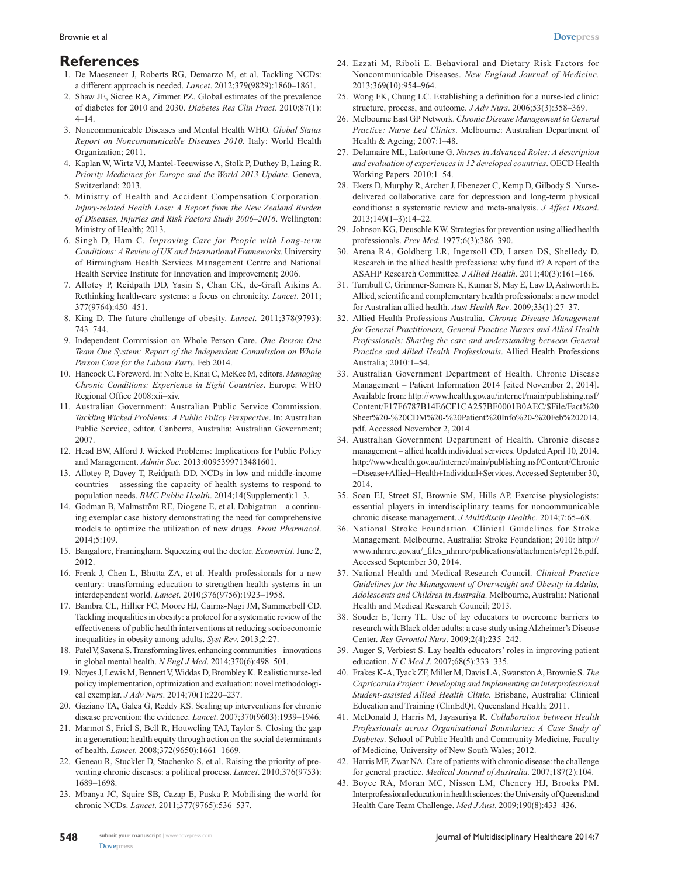#### **References**

- 1. De Maeseneer J, Roberts RG, Demarzo M, et al. Tackling NCDs: a different approach is needed. *Lancet*. 2012;379(9829):1860–1861.
- 2. Shaw JE, Sicree RA, Zimmet PZ. Global estimates of the prevalence of diabetes for 2010 and 2030. *Diabetes Res Clin Pract*. 2010;87(1): 4–14.
- 3. Noncommunicable Diseases and Mental Health WHO. *Global Status Report on Noncommunicable Diseases 2010.* Italy: World Health Organization; 2011.
- 4. Kaplan W, Wirtz VJ, Mantel-Teeuwisse A, Stolk P, Duthey B, Laing R. *Priority Medicines for Europe and the World 2013 Update.* Geneva, Switzerland: 2013.
- 5. Ministry of Health and Accident Compensation Corporation. *Injury-related Health Loss: A Report from the New Zealand Burden of Diseases, Injuries and Risk Factors Study 2006–2016*. Wellington: Ministry of Health; 2013.
- 6. Singh D, Ham C. *Improving Care for People with Long-term Conditions: A Review of UK and International Frameworks.* University of Birmingham Health Services Management Centre and National Health Service Institute for Innovation and Improvement; 2006.
- 7. Allotey P, Reidpath DD, Yasin S, Chan CK, de-Graft Aikins A. Rethinking health-care systems: a focus on chronicity. *Lancet*. 2011; 377(9764):450–451.
- 8. King D. The future challenge of obesity. *Lancet.* 2011;378(9793): 743–744.
- 9. Independent Commission on Whole Person Care. *One Person One Team One System: Report of the Independent Commission on Whole Person Care for the Labour Party.* Feb 2014.
- 10. Hancock C. Foreword. In: Nolte E, Knai C, McKee M, editors. *Managing Chronic Conditions: Experience in Eight Countries*. Europe: WHO Regional Office 2008:xii–xiv.
- 11. Australian Government: Australian Public Service Commission. *Tackling Wicked Problems: A Public Policy Perspective*. In: Australian Public Service, editor. Canberra, Australia: Australian Government; 2007.
- 12. Head BW, Alford J. Wicked Problems: Implications for Public Policy and Management. *Admin Soc.* 2013:0095399713481601.
- 13. Allotey P, Davey T, Reidpath DD. NCDs in low and middle-income countries – assessing the capacity of health systems to respond to population needs. *BMC Public Health*. 2014;14(Supplement):1–3.
- 14. Godman B, Malmström RE, Diogene E, et al. Dabigatran a continuing exemplar case history demonstrating the need for comprehensive models to optimize the utilization of new drugs. *Front Pharmacol*. 2014;5:109.
- 15. Bangalore, Framingham. Squeezing out the doctor. *Economist.* June 2, 2012.
- 16. Frenk J, Chen L, Bhutta ZA, et al. Health professionals for a new century: transforming education to strengthen health systems in an interdependent world. *Lancet*. 2010;376(9756):1923–1958.
- 17. Bambra CL, Hillier FC, Moore HJ, Cairns-Nagi JM, Summerbell CD. Tackling inequalities in obesity: a protocol for a systematic review of the effectiveness of public health interventions at reducing socioeconomic inequalities in obesity among adults. *Syst Rev*. 2013;2:27.
- 18. Patel V, Saxena S. Transforming lives, enhancing communities innovations in global mental health. *N Engl J Med*. 2014;370(6):498–501.
- 19. Noyes J, Lewis M, Bennett V, Widdas D, Brombley K. Realistic nurse-led policy implementation, optimization and evaluation: novel methodological exemplar. *J Adv Nurs*. 2014;70(1):220–237.
- 20. Gaziano TA, Galea G, Reddy KS. Scaling up interventions for chronic disease prevention: the evidence. *Lancet*. 2007;370(9603):1939–1946.
- 21. Marmot S, Friel S, Bell R, Houweling TAJ, Taylor S. Closing the gap in a generation: health equity through action on the social determinants of health. *Lancet.* 2008;372(9650):1661–1669.
- 22. Geneau R, Stuckler D, Stachenko S, et al. Raising the priority of preventing chronic diseases: a political process. *Lancet*. 2010;376(9753): 1689–1698.
- 23. Mbanya JC, Squire SB, Cazap E, Puska P. Mobilising the world for chronic NCDs. *Lancet*. 2011;377(9765):536–537.
- 24. Ezzati M, Riboli E. Behavioral and Dietary Risk Factors for Noncommunicable Diseases. *New England Journal of Medicine.* 2013;369(10):954–964.
- 25. Wong FK, Chung LC. Establishing a definition for a nurse-led clinic: structure, process, and outcome. *J Adv Nurs*. 2006;53(3):358–369.
- 26. Melbourne East GP Network. *Chronic Disease Management in General Practice: Nurse Led Clinics*. Melbourne: Australian Department of Health & Ageing; 2007:1–48.
- 27. Delamaire ML, Lafortune G. *Nurses in Advanced Roles: A description and evaluation of experiences in 12 developed countries*. OECD Health Working Papers. 2010:1–54.
- 28. Ekers D, Murphy R, Archer J, Ebenezer C, Kemp D, Gilbody S. Nursedelivered collaborative care for depression and long-term physical conditions: a systematic review and meta-analysis. *J Affect Disord*. 2013;149(1–3):14–22.
- 29. Johnson KG, Deuschle KW. Strategies for prevention using allied health professionals. *Prev Med.* 1977;6(3):386–390.
- 30. Arena RA, Goldberg LR, Ingersoll CD, Larsen DS, Shelledy D. Research in the allied health professions: why fund it? A report of the ASAHP Research Committee. *J Allied Health*. 2011;40(3):161–166.
- 31. Turnbull C, Grimmer-Somers K, Kumar S, May E, Law D, Ashworth E. Allied, scientific and complementary health professionals: a new model for Australian allied health. *Aust Health Rev*. 2009;33(1):27–37.
- 32. Allied Health Professions Australia. *Chronic Disease Management for General Practitioners, General Practice Nurses and Allied Health Professionals: Sharing the care and understanding between General Practice and Allied Health Professionals*. Allied Health Professions Australia; 2010:1–54.
- 33. Australian Government Department of Health. Chronic Disease Management – Patient Information 2014 [cited November 2, 2014]. Available from: http://www.health.gov.au/internet/main/publishing.nsf/ Content/F17F6787B14E6CF1CA257BF0001B0AEC/\$File/Fact%20 Sheet%20-%20CDM%20-%20Patient%20Info%20-%20Feb%202014. pdf. Accessed November 2, 2014.
- 34. Australian Government Department of Health. Chronic disease management – allied health individual services. Updated April 10, 2014. [http://www.health.gov.au/internet/main/publishing.nsf/Content/Chronic](http://www.health.gov.au/internet/main/publishing.nsf/Content/Chronic+Disease+Allied+Health+Individual+Services) +Disease+Allied+Health+[Individual](http://www.health.gov.au/internet/main/publishing.nsf/Content/Chronic+Disease+Allied+Health+Individual+Services)+Services. Accessed September 30, 2014.
- 35. Soan EJ, Street SJ, Brownie SM, Hills AP. Exercise physiologists: essential players in interdisciplinary teams for noncommunicable chronic disease management. *J Multidiscip Healthc*. 2014;7:65–68.
- 36. National Stroke Foundation. Clinical Guidelines for Stroke Management. Melbourne, Australia: Stroke Foundation; 2010: [http://](http://www.nhmrc.gov.au/_files_nhmrc/publications/attachments/cp126.pdf) [www.nhmrc.gov.au/\\_files\\_nhmrc/publications/attachments/cp126.pdf.](http://www.nhmrc.gov.au/_files_nhmrc/publications/attachments/cp126.pdf) [Accessed September 30](http://www.nhmrc.gov.au/_files_nhmrc/publications/attachments/cp126.pdf), 2014.
- 37. National Health and Medical Research Council. *Clinical Practice Guidelines for the Management of Overweight and Obesity in Adults, Adolescents and Children in Australia.* Melbourne, Australia: National Health and Medical Research Council; 2013.
- 38. Souder E, Terry TL. Use of lay educators to overcome barriers to research with Black older adults: a case study using Alzheimer's Disease Center. *Res Gerontol Nurs*. 2009;2(4):235–242.
- 39. Auger S, Verbiest S. Lay health educators' roles in improving patient education. *N C Med J*. 2007;68(5):333–335.
- 40. Frakes K-A, Tyack ZF, Miller M, Davis LA, Swanston A, Brownie S. *The Capricornia Project: Developing and Implementing an interprofessional Student-assisted Allied Health Clinic.* Brisbane, Australia: Clinical Education and Training (ClinEdQ), Queensland Health; 2011.
- 41. McDonald J, Harris M, Jayasuriya R. *Collaboration between Health Professionals across Organisational Boundaries: A Case Study of Diabetes*. School of Public Health and Community Medicine, Faculty of Medicine, University of New South Wales; 2012.
- 42. Harris MF, Zwar NA. Care of patients with chronic disease: the challenge for general practice. *Medical Journal of Australia.* 2007;187(2):104.
- 43. Boyce RA, Moran MC, Nissen LM, Chenery HJ, Brooks PM. Interprofessional education in health sciences: the University of Queensland Health Care Team Challenge. *Med J Aust*. 2009;190(8):433–436.

**548**